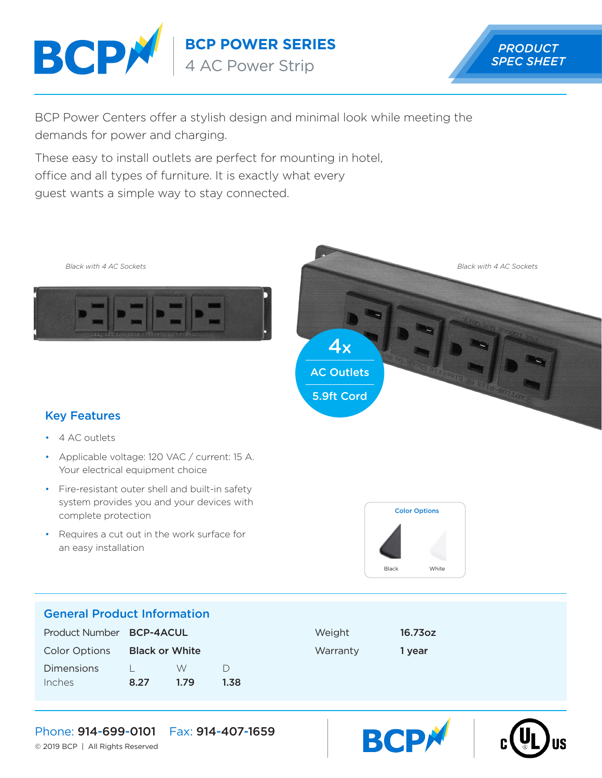

**BCP POWER SERIES**

4 AC Power Strip



BCP Power Centers offer a stylish design and minimal look while meeting the demands for power and charging.

These easy to install outlets are perfect for mounting in hotel, office and all types of furniture. It is exactly what every guest wants a simple way to stay connected.







## Key Features

- 4 AC outlets
- Applicable voltage: 120 VAC / current: 15 A. Your electrical equipment choice
- Fire-resistant outer shell and built-in safety system provides you and your devices with complete protection
- Requires a cut out in the work surface for an easy installation



**BCP** 

### General Product Information

| Product Number <b>BCP-4ACUL</b> |                       |      |      | Weight   | 16.73oz |
|---------------------------------|-----------------------|------|------|----------|---------|
| <b>Color Options</b>            | <b>Black or White</b> |      |      | Warranty | 1 vear  |
| <b>Dimensions</b>               |                       | W    | D    |          |         |
| Inches                          | 8.27                  | 1.79 | 1.38 |          |         |

## Phone: 914-699-0101 Fax: 914-407-1659

© 2019 BCP | All Rights Reserved